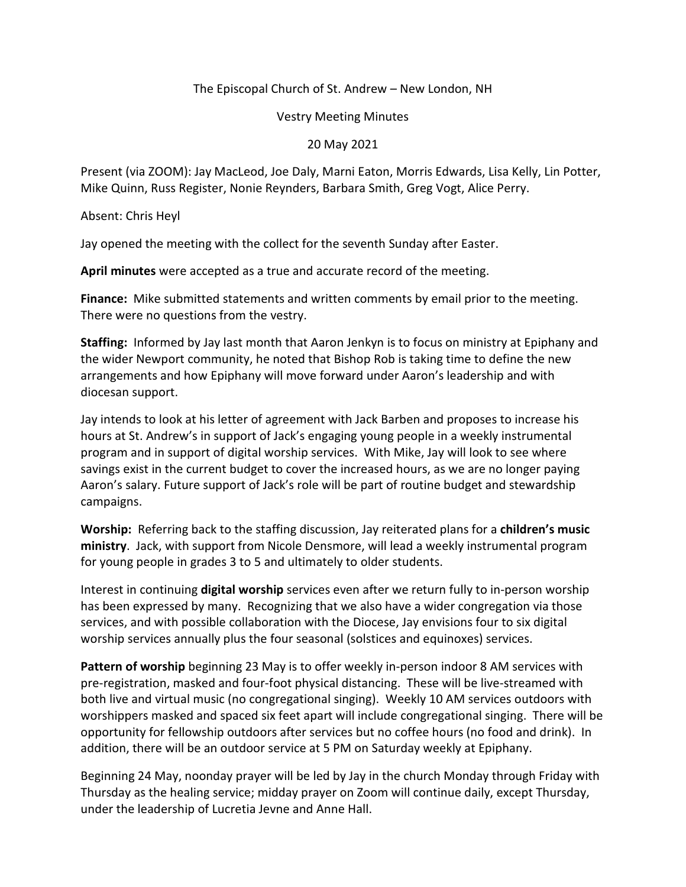## The Episcopal Church of St. Andrew – New London, NH

Vestry Meeting Minutes

20 May 2021

Present (via ZOOM): Jay MacLeod, Joe Daly, Marni Eaton, Morris Edwards, Lisa Kelly, Lin Potter, Mike Quinn, Russ Register, Nonie Reynders, Barbara Smith, Greg Vogt, Alice Perry.

Absent: Chris Heyl

Jay opened the meeting with the collect for the seventh Sunday after Easter.

**April minutes** were accepted as a true and accurate record of the meeting.

**Finance:** Mike submitted statements and written comments by email prior to the meeting. There were no questions from the vestry.

**Staffing:** Informed by Jay last month that Aaron Jenkyn is to focus on ministry at Epiphany and the wider Newport community, he noted that Bishop Rob is taking time to define the new arrangements and how Epiphany will move forward under Aaron's leadership and with diocesan support.

Jay intends to look at his letter of agreement with Jack Barben and proposes to increase his hours at St. Andrew's in support of Jack's engaging young people in a weekly instrumental program and in support of digital worship services. With Mike, Jay will look to see where savings exist in the current budget to cover the increased hours, as we are no longer paying Aaron's salary. Future support of Jack's role will be part of routine budget and stewardship campaigns.

**Worship:** Referring back to the staffing discussion, Jay reiterated plans for a **children's music ministry**. Jack, with support from Nicole Densmore, will lead a weekly instrumental program for young people in grades 3 to 5 and ultimately to older students.

Interest in continuing **digital worship** services even after we return fully to in-person worship has been expressed by many. Recognizing that we also have a wider congregation via those services, and with possible collaboration with the Diocese, Jay envisions four to six digital worship services annually plus the four seasonal (solstices and equinoxes) services.

**Pattern of worship** beginning 23 May is to offer weekly in-person indoor 8 AM services with pre-registration, masked and four-foot physical distancing. These will be live-streamed with both live and virtual music (no congregational singing). Weekly 10 AM services outdoors with worshippers masked and spaced six feet apart will include congregational singing. There will be opportunity for fellowship outdoors after services but no coffee hours (no food and drink). In addition, there will be an outdoor service at 5 PM on Saturday weekly at Epiphany.

Beginning 24 May, noonday prayer will be led by Jay in the church Monday through Friday with Thursday as the healing service; midday prayer on Zoom will continue daily, except Thursday, under the leadership of Lucretia Jevne and Anne Hall.